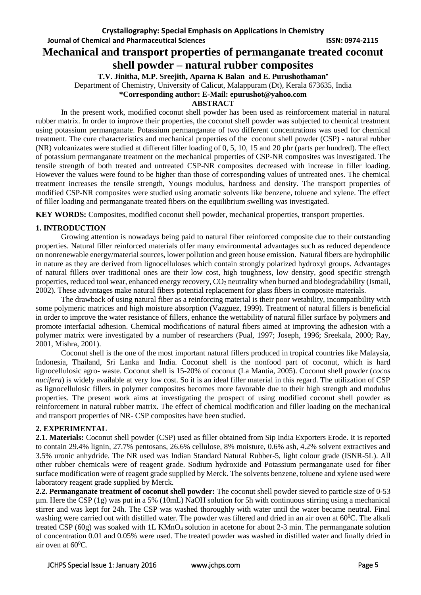**Journal of Chemical and Pharmaceutical Sciences ISSN: 0974-2115**

# **Mechanical and transport properties of permanganate treated coconut shell powder – natural rubber composites**

**T.V. Jinitha, M.P. Sreejith, Aparna K Balan and E. Purushothaman**

Department of Chemistry, University of Calicut, Malappuram (Dt), Kerala 673635, India

**\*Corresponding author: E-Mail: epurushot@yahoo.com**

### **ABSTRACT**

In the present work, modified coconut shell powder has been used as reinforcement material in natural rubber matrix. In order to improve their properties, the coconut shell powder was subjected to chemical treatment using potassium permanganate. Potassium permanganate of two different concentrations was used for chemical treatment. The cure characteristics and mechanical properties of the coconut shell powder (CSP) - natural rubber (NR) vulcanizates were studied at different filler loading of 0, 5, 10, 15 and 20 phr (parts per hundred). The effect of potassium permanganate treatment on the mechanical properties of CSP-NR composites was investigated. The tensile strength of both treated and untreated CSP-NR composites decreased with increase in filler loading. However the values were found to be higher than those of corresponding values of untreated ones. The chemical treatment increases the tensile strength, Youngs modulus, hardness and density. The transport properties of modified CSP-NR composites were studied using aromatic solvents like benzene, toluene and xylene. The effect of filler loading and permanganate treated fibers on the equilibrium swelling was investigated.

**KEY WORDS:** Composites, modified coconut shell powder, mechanical properties, transport properties.

# **1. INTRODUCTION**

Growing attention is nowadays being paid to natural fiber reinforced composite due to their outstanding properties. Natural filler reinforced materials offer many environmental advantages such as reduced dependence on nonrenewable energy/material sources, lower pollution and green house emission. Natural fibers are hydrophilic in nature as they are derived from lignocelluloses which contain strongly polarized hydroxyl groups. Advantages of natural fillers over traditional ones are their low cost, high toughness, low density, good specific strength properties, reduced tool wear, enhanced energy recovery, CO<sup>2</sup> neutrality when burned and biodegradability (Ismail, 2002). These advantages make natural fibers potential replacement for glass fibers in composite materials.

The drawback of using natural fiber as a reinforcing material is their poor wetability, incompatibility with some polymeric matrices and high moisture absorption (Vazguez, 1999). Treatment of natural fillers is beneficial in order to improve the water resistance of fillers, enhance the wettability of natural filler surface by polymers and promote interfacial adhesion. Chemical modifications of natural fibers aimed at improving the adhesion with a polymer matrix were investigated by a number of researchers (Pual, 1997; Joseph, 1996; Sreekala, 2000; Ray, 2001, Mishra, 2001).

Coconut shell is the one of the most important natural fillers produced in tropical countries like Malaysia, Indonesia, Thailand, Sri Lanka and India. Coconut shell is the nonfood part of coconut, which is hard lignocellulosic agro- waste. Coconut shell is 15-20% of coconut (La Mantia, 2005). Coconut shell powder (*cocos nucifera*) is widely available at very low cost. So it is an ideal filler material in this regard. The utilization of CSP as lignocellulosic fillers in polymer composites becomes more favorable due to their high strength and modulus properties. The present work aims at investigating the prospect of using modified coconut shell powder as reinforcement in natural rubber matrix. The effect of chemical modification and filler loading on the mechanical and transport properties of NR- CSP composites have been studied.

# **2. EXPERIMENTAL**

**2.1. Materials:** Coconut shell powder (CSP) used as filler obtained from Sip India Exporters Erode. It is reported to contain 29.4% lignin, 27.7% pentosans, 26.6% cellulose, 8% moisture, 0.6% ash, 4.2% solvent extractives and 3.5% uronic anhydride. The NR used was Indian Standard Natural Rubber-5, light colour grade (ISNR-5L). All other rubber chemicals were of reagent grade. Sodium hydroxide and Potassium permanganate used for fiber surface modification were of reagent grade supplied by Merck. The solvents benzene, toluene and xylene used were laboratory reagent grade supplied by Merck.

**2.2. Permanganate treatment of coconut shell powder:** The coconut shell powder sieved to particle size of 0-53 µm. Here the CSP (1g) was put in a 5% (10mL) NaOH solution for 5h with continuous stirring using a mechanical stirrer and was kept for 24h. The CSP was washed thoroughly with water until the water became neutral. Final washing were carried out with distilled water. The powder was filtered and dried in an air oven at 60<sup>0</sup>C. The alkali treated CSP  $(60g)$  was soaked with 1L KMnO<sub>4</sub> solution in acetone for about 2-3 min. The permanganate solution of concentration 0.01 and 0.05% were used. The treated powder was washed in distilled water and finally dried in air oven at  $60^{\circ}$ C.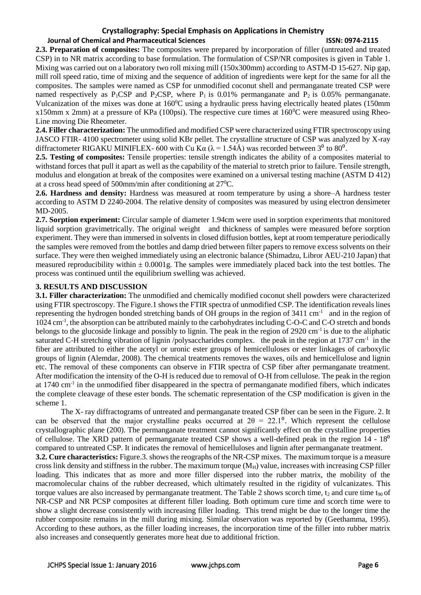#### **Journal of Chemical and Pharmaceutical Sciences ISSN: 0974-2115**

**2.3. Preparation of composites:** The composites were prepared by incorporation of filler (untreated and treated CSP) in to NR matrix according to base formulation. The formulation of CSP/NR composites is given in Table 1. Mixing was carried out on a laboratory two roll mixing mill (150x300mm) according to ASTM-D 15-627. Nip gap, mill roll speed ratio, time of mixing and the sequence of addition of ingredients were kept for the same for all the composites. The samples were named as CSP for unmodified coconut shell and permanganate treated CSP were named respectively as  $P_1CSP$  and  $P_2CSP$ , where  $P_1$  is 0.01% permanganate and  $P_2$  is 0.05% permanganate. Vulcanization of the mixes was done at  $160^{\circ}$ C using a hydraulic press having electrically heated plates (150mm) x150mm x 2mm) at a pressure of KPa (100psi). The respective cure times at 160<sup>0</sup>C were measured using Rheo-Line moving Die Rheometer.

**2.4. Filler characterization:** The unmodified and modified CSP were characterized using FTIR spectroscopy using JASCO FTIR- 4100 spectrometer using solid KBr pellet. The crystalline structure of CSP was analyzed by X-ray diffractometer RIGAKU MINIFLEX- 600 with Cu K $\alpha$  ( $\lambda$  = 1.54Å) was recorded between 3<sup>0</sup> to 80<sup>0</sup>.

**2.5. Testing of composites:** Tensile properties: tensile strength indicates the ability of a composites material to withstand forces that pull it apart as well as the capability of the material to stretch prior to failure. Tensile strength, modulus and elongation at break of the composites were examined on a universal testing machine (ASTM D 412) at a cross head speed of 500mm/min after conditioning at 27<sup>0</sup>C.

**2.6. Hardness and density:** Hardness was measured at room temperature by using a shore–A hardness tester according to ASTM D 2240-2004. The relative density of composites was measured by using electron densimeter MD-2005.

**2.7. Sorption experiment:** Circular sample of diameter 1.94cm were used in sorption experiments that monitored liquid sorption gravimetrically. The original weight and thickness of samples were measured before sorption experiment. They were than immersed in solvents in closed diffusion bottles, kept at room temperature periodically the samples were removed from the bottles and damp dried between filter papers to remove excess solvents on their surface. They were then weighed immediately using an electronic balance (Shimadzu, Libror AEU-210 Japan) that measured reproducibility within  $\pm$  0.0001g. The samples were immediately placed back into the test bottles. The process was continued until the equilibrium swelling was achieved.

### **3. RESULTS AND DISCUSSION**

**3.1. Filler characterization:** The unmodified and chemically modified coconut shell powders were characterized using FTIR spectroscopy. The Figure.1 shows the FTIR spectra of unmodified CSP. The identification reveals lines representing the hydrogen bonded stretching bands of OH groups in the region of 3411 cm<sup>-1</sup> and in the region of 1024 cm<sup>-1</sup>, the absorption can be attributed mainly to the carbohydrates including C-O-C and C-O stretch and bonds belongs to the glucoside linkage and possibly to lignin. The peak in the region of 2920 cm<sup>-1</sup> is due to the aliphatic saturated C-H stretching vibration of lignin /polysaccharides complex. the peak in the region at 1737 cm<sup>-1</sup> in the fiber are attributed to either the acetyl or uronic ester groups of hemicelluloses or ester linkages of carboxylic groups of lignin (Alemdar, 2008). The chemical treatments removes the waxes, oils and hemicellulose and lignin etc. The removal of these components can observe in FTIR spectra of CSP fiber after permanganate treatment. After modification the intensity of the O-H is reduced due to removal of O-H from cellulose. The peak in the region at 1740 cm<sup>-1</sup> in the unmodified fiber disappeared in the spectra of permanganate modified fibers, which indicates the complete cleavage of these ester bonds. The schematic representation of the CSP modification is given in the scheme 1.

The X- ray diffractograms of untreated and permanganate treated CSP fiber can be seen in the Figure. 2. It can be observed that the major crystalline peaks occurred at  $2\theta = 22.1^{\circ}$ . Which represent the cellulose crystallographic plane (200). The permanganate treatment cannot significantly effect on the crystalline properties of cellulose. The XRD pattern of permanganate treated CSP shows a well-defined peak in the region  $14 - 18<sup>0</sup>$ compared to untreated CSP. It indicates the removal of hemicelluloses and lignin after permanganate treatment.

**3.2. Cure characteristics:** Figure.3. shows the reographs of the NR-CSP mixes. The maximum torque is a measure cross link density and stiffness in the rubber. The maximum torque  $(M_H)$  value, increases with increasing CSP filler loading. This indicates that as more and more filler dispersed into the rubber matrix, the mobility of the macromolecular chains of the rubber decreased, which ultimately resulted in the rigidity of vulcanizates. This torque values are also increased by permanganate treatment. The Table 2 shows scorch time,  $t_2$  and cure time  $t_{90}$  of NR-CSP and NR PCSP composites at different filler loading. Both optimum cure time and scorch time were to show a slight decrease consistently with increasing filler loading. This trend might be due to the longer time the rubber composite remains in the mill during mixing. Similar observation was reported by (Geethamma, 1995). According to these authors, as the filler loading increases, the incorporation time of the filler into rubber matrix also increases and consequently generates more heat due to additional friction.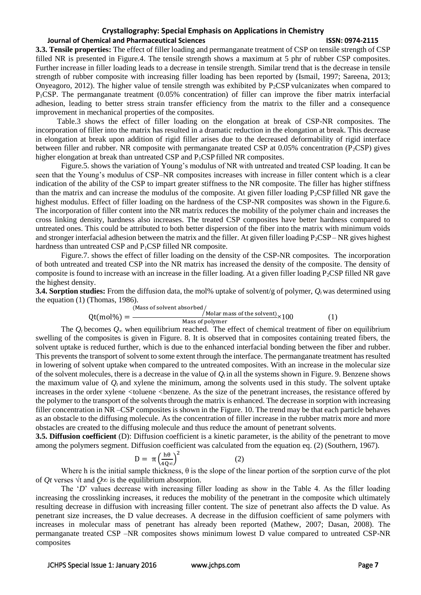#### **Journal of Chemical and Pharmaceutical Sciences ISSN: 0974-2115**

**3.3. Tensile properties:** The effect of filler loading and permanganate treatment of CSP on tensile strength of CSP filled NR is presented in Figure.4. The tensile strength shows a maximum at 5 phr of rubber CSP composites. Further increase in filler loading leads to a decrease in tensile strength. Similar trend that is the decrease in tensile strength of rubber composite with increasing filler loading has been reported by (Ismail, 1997; Sareena, 2013; Onyeagoro, 2012). The higher value of tensile strength was exhibited by  $P_2CSP$  vulcanizates when compared to P1CSP. The permanganate treatment (0.05% concentration) of filler can improve the fiber matrix interfacial adhesion, leading to better stress strain transfer efficiency from the matrix to the filler and a consequence improvement in mechanical properties of the composites.

Table.3 shows the effect of filler loading on the elongation at break of CSP-NR composites. The incorporation of filler into the matrix has resulted in a dramatic reduction in the elongation at break. This decrease in elongation at break upon addition of rigid filler arises due to the decreased deformability of rigid interface between filler and rubber. NR composite with permanganate treated CSP at 0.05% concentration (P<sub>2</sub>CSP) gives higher elongation at break than untreated CSP and P<sub>1</sub>CSP filled NR composites.

Figure.5. shows the variation of Young's modulus of NR with untreated and treated CSP loading. It can be seen that the Young's modulus of CSP–NR composites increases with increase in filler content which is a clear indication of the ability of the CSP to impart greater stiffness to the NR composite. The filler has higher stiffness than the matrix and can increase the modulus of the composite. At given filler loading  $P_2CSP$  filled NR gave the highest modulus. Effect of filler loading on the hardness of the CSP-NR composites was shown in the Figure.6. The incorporation of filler content into the NR matrix reduces the mobility of the polymer chain and increases the cross linking density, hardness also increases. The treated CSP composites have better hardness compared to untreated ones. This could be attributed to both better dispersion of the fiber into the matrix with minimum voids and stronger interfacial adhesion between the matrix and the filler. At given filler loading  $P_2CSP- NR$  gives highest hardness than untreated CSP and P<sub>1</sub>CSP filled NR composite.

Figure.7. shows the effect of filler loading on the density of the CSP-NR composites. The incorporation of both untreated and treated CSP into the NR matrix has increased the density of the composite. The density of composite is found to increase with an increase in the filler loading. At a given filler loading  $P_2CSP$  filled NR gave the highest density.

**3.4. Sorption studies:** From the diffusion data, the mol% uptake of solvent/g of polymer,  $O_t$  was determined using the equation (1) (Thomas, 1986).

$$
Qt (mol\%) = \frac{(Mass of solvent absorbed/_{Molar mass of the solvent})}{Mass of polymer} \times 100
$$
 (1)

The  $Q_t$  becomes  $Q_\infty$  when equilibrium reached. The effect of chemical treatment of fiber on equilibrium swelling of the composites is given in Figure. 8. It is observed that in composites containing treated fibers, the solvent uptake is reduced further, which is due to the enhanced interfacial bonding between the fiber and rubber. This prevents the transport of solvent to some extent through the interface. The permanganate treatment has resulted in lowering of solvent uptake when compared to the untreated composites. With an increase in the molecular size of the solvent molecules, there is a decrease in the value of  $Q_t$  in all the systems shown in Figure. 9. Benzene shows the maximum value of  $Q_t$  and xylene the minimum, among the solvents used in this study. The solvent uptake increases in the order xylene  $\lt$ toluene  $\lt$ benzene. As the size of the penetrant increases, the resistance offered by the polymer to the transport of the solvents through the matrix is enhanced. The decrease in sorption with increasing filler concentration in NR –CSP composites is shown in the Figure. 10. The trend may be that each particle behaves as an obstacle to the diffusing molecule. As the concentration of filler increase in the rubber matrix more and more obstacles are created to the diffusing molecule and thus reduce the amount of penetrant solvents.

**3.5. Diffusion coefficient** (D): Diffusion coefficient is a kinetic parameter, is the ability of the penetrant to move among the polymers segment. Diffusion coefficient was calculated from the equation eq. (2) (Southern, 1967).

$$
D = \pi \left(\frac{h\theta}{4Q\infty}\right)^2 \tag{2}
$$

Where h is the initial sample thickness,  $\theta$  is the slope of the linear portion of the sorption curve of the plot of *Qt* verses √t and *Q∞* is the equilibrium absorption.

The '*D*' values decrease with increasing filler loading as show in the Table 4. As the filler loading increasing the crosslinking increases, it reduces the mobility of the penetrant in the composite which ultimately resulting decrease in diffusion with increasing filler content. The size of penetrant also affects the D value. As penetrant size increases, the D value decreases. A decrease in the diffusion coefficient of same polymers with increases in molecular mass of penetrant has already been reported (Mathew, 2007; Dasan, 2008). The permanganate treated CSP –NR composites shows minimum lowest D value compared to untreated CSP-NR composites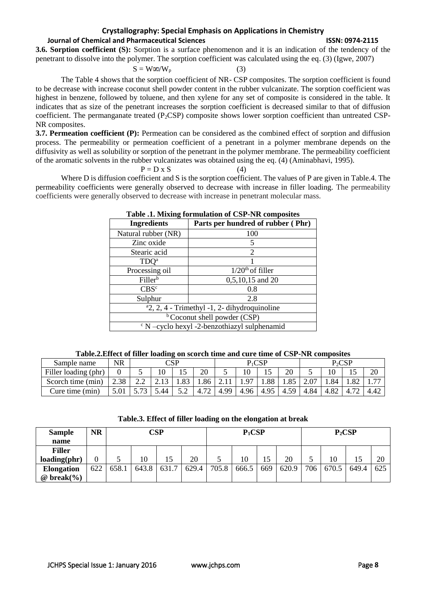### **Journal of Chemical and Pharmaceutical Sciences ISSN: 0974-2115**

**3.6. Sorption coefficient (S):** Sorption is a surface phenomenon and it is an indication of the tendency of the penetrant to dissolve into the polymer. The sorption coefficient was calculated using the eq. (3) (Igwe, 2007)

$$
S = W\omega/W_p \tag{3}
$$

The Table 4 shows that the sorption coefficient of NR- CSP composites. The sorption coefficient is found to be decrease with increase coconut shell powder content in the rubber vulcanizate. The sorption coefficient was highest in benzene, followed by toluene, and then xylene for any set of composite is considered in the table. It indicates that as size of the penetrant increases the sorption coefficient is decreased similar to that of diffusion coefficient. The permanganate treated  $(P_2CSP)$  composite shows lower sorption coefficient than untreated CSP-NR composites.

**3.7. Permeation coefficient (P):** Permeation can be considered as the combined effect of sorption and diffusion process. The permeability or permeation coefficient of a penetrant in a polymer membrane depends on the diffusivity as well as solubility or sorption of the penetrant in the polymer membrane. The permeability coefficient of the aromatic solvents in the rubber vulcanizates was obtained using the eq. (4) (Aminabhavi, 1995).

$$
P = D \times S \tag{4}
$$

Where D is diffusion coefficient and S is the sorption coefficient. The values of P are given in Table.4. The permeability coefficients were generally observed to decrease with increase in filler loading. The permeability coefficients were generally observed to decrease with increase in penetrant molecular mass.

| <b>Ingredients</b>                                  | Parts per hundred of rubber (Phr) |  |  |  |  |  |  |
|-----------------------------------------------------|-----------------------------------|--|--|--|--|--|--|
| Natural rubber (NR)                                 | 100                               |  |  |  |  |  |  |
| Zinc oxide                                          | 5                                 |  |  |  |  |  |  |
| Stearic acid                                        | 2                                 |  |  |  |  |  |  |
| TDO <sup>a</sup>                                    |                                   |  |  |  |  |  |  |
| Processing oil                                      | $1/20th$ of filler                |  |  |  |  |  |  |
| Filler <sup>b</sup>                                 | 0,5,10,15 and 20                  |  |  |  |  |  |  |
| CBS <sup>c</sup>                                    | 0.8                               |  |  |  |  |  |  |
| Sulphur                                             | 2.8                               |  |  |  |  |  |  |
| $2, 2, 4$ - Trimethyl -1, 2- dihydroquinoline       |                                   |  |  |  |  |  |  |
| <sup>b</sup> Coconut shell powder (CSP)             |                                   |  |  |  |  |  |  |
| $\rm{c}$ N -cyclo hexyl -2-benzothiazyl sulphenamid |                                   |  |  |  |  |  |  |

**Table .1. Mixing formulation of CSP-NR composites**

| Sample name          | <b>NR</b> | $\cap$ sp                |      |                  | $P_1CSP$ |      |      |                        | $P_2CSP$   |      |      |      |                               |
|----------------------|-----------|--------------------------|------|------------------|----------|------|------|------------------------|------------|------|------|------|-------------------------------|
| Filler loading (phr) |           |                          | 10   | ⊥⊷               | 20       | ັ    |      | IJ                     | 20         | ັ    |      | ⊥J   | 20                            |
| Scorch time (min)    | 2.38      | 2.Z                      |      | $\Omega$<br>1.00 | .86      |      |      | .88                    | 1.85       | 2.07 | 1.84 | 1.82 | $\overline{\phantom{a}}$<br>. |
| Cure time (min)      | 3.UI      | $\overline{\phantom{a}}$ | 5.44 | <u>.</u>         |          | 4.99 | 4.96 | 4.95<br>$\overline{4}$ | 50<br>4.3. | 4.84 | 4.82 |      |                               |

| <b>Sample</b>                             | <b>NR</b> |       | CSP   | $P_1CSP$ |       |       |       | $P_2CSP$ |       |     |       |       |     |
|-------------------------------------------|-----------|-------|-------|----------|-------|-------|-------|----------|-------|-----|-------|-------|-----|
| name                                      |           |       |       |          |       |       |       |          |       |     |       |       |     |
| <b>Filler</b>                             |           |       |       |          |       |       |       |          |       |     |       |       |     |
| loading(phr)                              |           |       | 10    | 15       | 20    |       | 10    |          | 20    |     | 10    |       | 20  |
| <b>Elongation</b>                         | 622       | 658.1 | 643.8 | 631.7    | 629.4 | 705.8 | 666.5 | 669      | 620.9 | 706 | 670.5 | 649.4 | 625 |
| $\omega$ break $\left(\frac{9}{6}\right)$ |           |       |       |          |       |       |       |          |       |     |       |       |     |

**Table.3. Effect of filler loading on the elongation at break**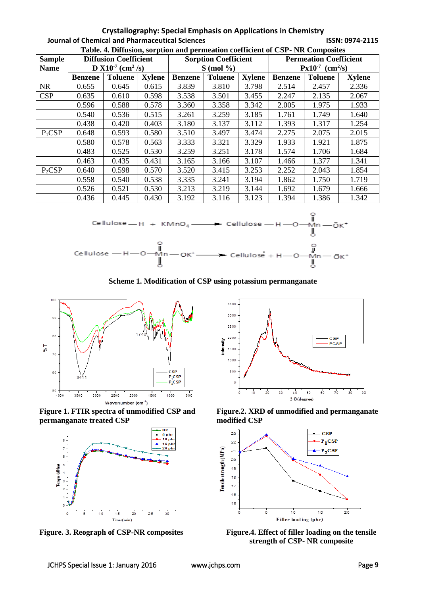#### **Crystallography: Special Emphasis on Applications in Chemistry Journal of Chemical and Pharmaceutical Sciences ISSN: 0974-2115 Table. 4. Diffusion, sorption and permeation coefficient of CSP- NR Composites**

| Table. 4. Dimaster, set puon and permeation coemetent of CST - FIX Composites<br><b>Diffusion Coefficient</b> |                                          |                |               |                |                             |               |                                  |                |               |  |  |
|---------------------------------------------------------------------------------------------------------------|------------------------------------------|----------------|---------------|----------------|-----------------------------|---------------|----------------------------------|----------------|---------------|--|--|
| <b>Sample</b>                                                                                                 |                                          |                |               |                | <b>Sorption Coefficient</b> |               | <b>Permeation Coefficient</b>    |                |               |  |  |
| <b>Name</b>                                                                                                   | <b>D</b> $X10^{-7}$ (cm <sup>2</sup> /s) |                |               |                | $S \pmod{ \%}$              |               | $Px10^{-7}$ (cm <sup>2</sup> /s) |                |               |  |  |
|                                                                                                               | <b>Benzene</b>                           | <b>Toluene</b> | <b>Xylene</b> | <b>Benzene</b> | <b>Toluene</b>              | <b>Xylene</b> | <b>Benzene</b>                   | <b>Toluene</b> | <b>Xylene</b> |  |  |
| <b>NR</b>                                                                                                     | 0.655                                    | 0.645          | 0.615         | 3.839          | 3.810                       | 3.798         | 2.514                            | 2.457          | 2.336         |  |  |
| <b>CSP</b>                                                                                                    | 0.635                                    | 0.610          | 0.598         | 3.538          | 3.501                       | 3.455         | 2.247                            | 2.135          | 2.067         |  |  |
|                                                                                                               | 0.596                                    | 0.588          | 0.578         | 3.360          | 3.358                       | 3.342         | 2.005                            | 1.975          | 1.933         |  |  |
|                                                                                                               | 0.540                                    | 0.536          | 0.515         | 3.261          | 3.259                       | 3.185         | 1.761                            | 1.749          | 1.640         |  |  |
|                                                                                                               | 0.438                                    | 0.420          | 0.403         | 3.180          | 3.137                       | 3.112         | 1.393                            | 1.317          | 1.254         |  |  |
| $P_1CSP$                                                                                                      | 0.648                                    | 0.593          | 0.580         | 3.510          | 3.497                       | 3.474         | 2.275                            | 2.075          | 2.015         |  |  |
|                                                                                                               | 0.580                                    | 0.578          | 0.563         | 3.333          | 3.321                       | 3.329         | 1.933                            | 1.921          | 1.875         |  |  |
|                                                                                                               | 0.483                                    | 0.525          | 0.530         | 3.259          | 3.251                       | 3.178         | 1.574                            | 1.706          | 1.684         |  |  |
|                                                                                                               | 0.463                                    | 0.435          | 0.431         | 3.165          | 3.166                       | 3.107         | 1.466                            | 1.377          | 1.341         |  |  |
| $P_2CSP$                                                                                                      | 0.640                                    | 0.598          | 0.570         | 3.520          | 3.415                       | 3.253         | 2.252                            | 2.043          | 1.854         |  |  |
|                                                                                                               | 0.558                                    | 0.540          | 0.538         | 3.335          | 3.241                       | 3.194         | 1.862                            | 1.750          | 1.719         |  |  |
|                                                                                                               | 0.526                                    | 0.521          | 0.530         | 3.213          | 3.219                       | 3.144         | 1.692                            | 1.679          | 1.666         |  |  |
|                                                                                                               | 0.436                                    | 0.445          | 0.430         | 3.192          | 3.116                       | 3.123         | 1.394                            | 1.386          | 1.342         |  |  |



**Scheme 1. Modification of CSP using potassium permanganate**









**Figure.2. XRD of unmodified and permanganate modified CSP**



**Figure. 3. Reograph of CSP-NR composites Figure.4. Effect of filler loading on the tensile strength of CSP- NR composite**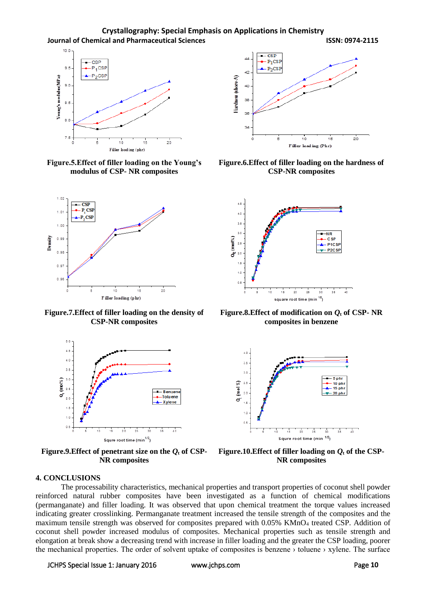**Crystallography: Special Emphasis on Applications in Chemistry Journal of Chemical and Pharmaceutical Sciences ISSN: 0974-2115**



**Figure.5.Effect of filler loading on the Young's modulus of CSP- NR composites**



**Figure.7.Effect of filler loading on the density of CSP-NR composites**



**Figure.9.**Effect of penetrant size on the  $Q_t$  of CSP-**NR composites**



**Figure.6.Effect of filler loading on the hardness of CSP-NR composites**



**Figure.8.**Effect of modification on  $Q_t$  of CSP- NR **composites in benzene**



**Figure.10. Effect of filler loading on**  $Q_t$  **of the CSP-NR composites**

#### **4. CONCLUSIONS**

The processability characteristics, mechanical properties and transport properties of coconut shell powder reinforced natural rubber composites have been investigated as a function of chemical modifications (permanganate) and filler loading. It was observed that upon chemical treatment the torque values increased indicating greater crosslinking. Permanganate treatment increased the tensile strength of the composites and the maximum tensile strength was observed for composites prepared with 0.05% KMnO<sup>4</sup> treated CSP. Addition of coconut shell powder increased modulus of composites. Mechanical properties such as tensile strength and elongation at break show a decreasing trend with increase in filler loading and the greater the CSP loading, poorer the mechanical properties. The order of solvent uptake of composites is benzene › toluene › xylene. The surface

#### JCHPS Special Issue 1: January 2016 www.jchps.com Page **10**